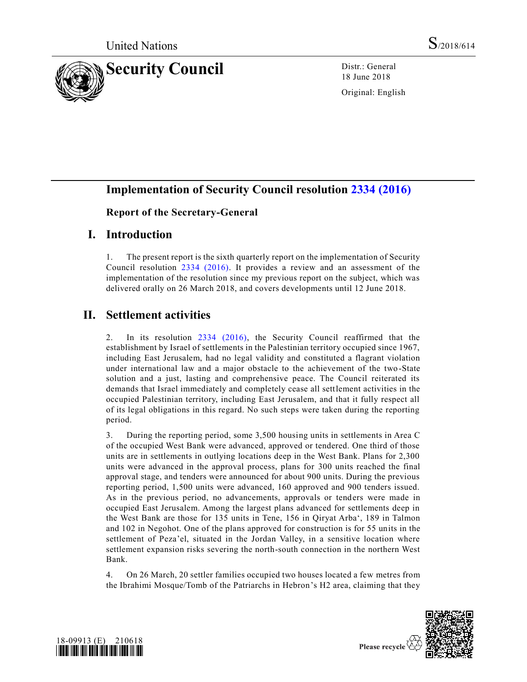

18 June 2018

Original: English

# **Implementation of Security Council resolution [2334 \(2016\)](https://undocs.org/S/RES/2334(2016))**

#### **Report of the Secretary-General**

## **I. Introduction**

1. The present report is the sixth quarterly report on the implementation of Security Council resolution [2334 \(2016\).](https://undocs.org/S/RES/2334(2016)) It provides a review and an assessment of the implementation of the resolution since my previous report on the subject, which was delivered orally on 26 March 2018, and covers developments until 12 June 2018.

# **II. Settlement activities**

2. In its resolution [2334 \(2016\),](https://undocs.org/S/RES/2334(2016)) the Security Council reaffirmed that the establishment by Israel of settlements in the Palestinian territory occupied since 1967, including East Jerusalem, had no legal validity and constituted a flagrant violation under international law and a major obstacle to the achievement of the two-State solution and a just, lasting and comprehensive peace. The Council reiterated its demands that Israel immediately and completely cease all settlement activities in the occupied Palestinian territory, including East Jerusalem, and that it fully respect all of its legal obligations in this regard. No such steps were taken during the reporting period.

3. During the reporting period, some 3,500 housing units in settlements in Area C of the occupied West Bank were advanced, approved or tendered. One third of those units are in settlements in outlying locations deep in the West Bank. Plans for 2,300 units were advanced in the approval process, plans for 300 units reached the final approval stage, and tenders were announced for about 900 units. During the previous reporting period, 1,500 units were advanced, 160 approved and 900 tenders issued. As in the previous period, no advancements, approvals or tenders were made in occupied East Jerusalem. Among the largest plans advanced for settlements deep in the West Bank are those for 135 units in Tene, 156 in Qiryat Arba', 189 in Talmon and 102 in Negohot. One of the plans approved for construction is for 55 units in the settlement of Peza'el, situated in the Jordan Valley, in a sensitive location where settlement expansion risks severing the north-south connection in the northern West Bank.

4. On 26 March, 20 settler families occupied two houses located a few metres from the Ibrahimi Mosque/Tomb of the Patriarchs in Hebron's H2 area, claiming that they



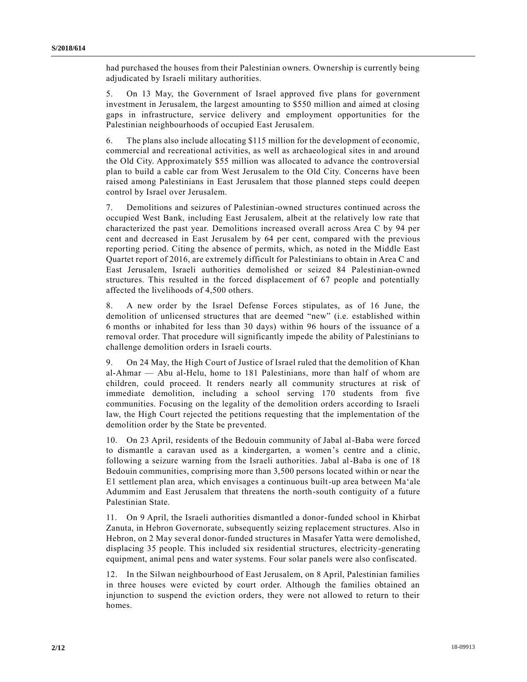had purchased the houses from their Palestinian owners. Ownership is currently being adjudicated by Israeli military authorities.

5. On 13 May, the Government of Israel approved five plans for government investment in Jerusalem, the largest amounting to \$550 million and aimed at closing gaps in infrastructure, service delivery and employment opportunities for the Palestinian neighbourhoods of occupied East Jerusalem.

6. The plans also include allocating \$115 million for the development of economic, commercial and recreational activities, as well as archaeological sites in and around the Old City. Approximately \$55 million was allocated to advance the controversial plan to build a cable car from West Jerusalem to the Old City. Concerns have been raised among Palestinians in East Jerusalem that those planned steps could deepen control by Israel over Jerusalem.

7. Demolitions and seizures of Palestinian-owned structures continued across the occupied West Bank, including East Jerusalem, albeit at the relatively low rate that characterized the past year. Demolitions increased overall across Area C by 94 per cent and decreased in East Jerusalem by 64 per cent, compared with the previous reporting period. Citing the absence of permits, which, as noted in the Middle East Quartet report of 2016, are extremely difficult for Palestinians to obtain in Area C and East Jerusalem, Israeli authorities demolished or seized 84 Palestinian-owned structures. This resulted in the forced displacement of 67 people and potentially affected the livelihoods of 4,500 others.

8. A new order by the Israel Defense Forces stipulates, as of 16 June, the demolition of unlicensed structures that are deemed "new" (i.e. established within 6 months or inhabited for less than 30 days) within 96 hours of the issuance of a removal order. That procedure will significantly impede the ability of Palestinians to challenge demolition orders in Israeli courts.

9. On 24 May, the High Court of Justice of Israel ruled that the demolition of Khan al-Ahmar — Abu al-Helu, home to 181 Palestinians, more than half of whom are children, could proceed. It renders nearly all community structures at risk of immediate demolition, including a school serving 170 students from five communities. Focusing on the legality of the demolition orders according to Israeli law, the High Court rejected the petitions requesting that the implementation of the demolition order by the State be prevented.

10. On 23 April, residents of the Bedouin community of Jabal al-Baba were forced to dismantle a caravan used as a kindergarten, a women's centre and a clinic, following a seizure warning from the Israeli authorities. Jabal al-Baba is one of 18 Bedouin communities, comprising more than 3,500 persons located within or near the E1 settlement plan area, which envisages a continuous built-up area between Ma'ale Adummim and East Jerusalem that threatens the north-south contiguity of a future Palestinian State.

11. On 9 April, the Israeli authorities dismantled a donor-funded school in Khirbat Zanuta, in Hebron Governorate, subsequently seizing replacement structures. Also in Hebron, on 2 May several donor-funded structures in Masafer Yatta were demolished, displacing 35 people. This included six residential structures, electricity-generating equipment, animal pens and water systems. Four solar panels were also confiscated.

12. In the Silwan neighbourhood of East Jerusalem, on 8 April, Palestinian families in three houses were evicted by court order. Although the families obtained an injunction to suspend the eviction orders, they were not allowed to return to their homes.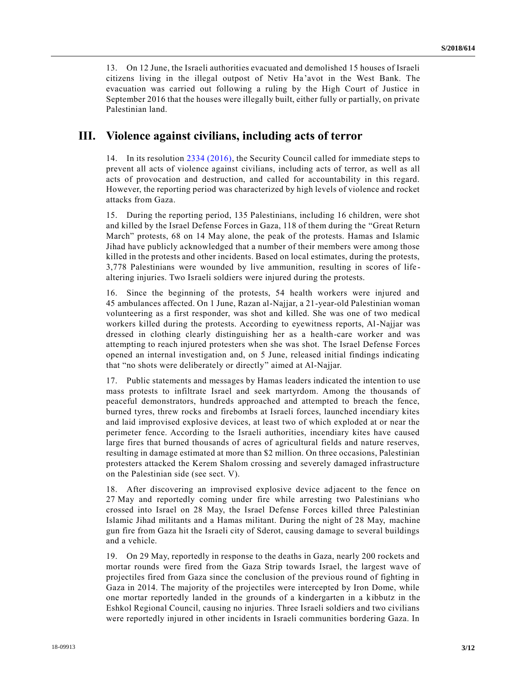13. On 12 June, the Israeli authorities evacuated and demolished 15 houses of Israeli citizens living in the illegal outpost of Netiv Ha'avot in the West Bank. The evacuation was carried out following a ruling by the High Court of Justice in September 2016 that the houses were illegally built, either fully or partially, on private Palestinian land.

#### **III. Violence against civilians, including acts of terror**

14. In its resolution [2334 \(2016\),](https://undocs.org/S/RES/2334(2016)) the Security Council called for immediate steps to prevent all acts of violence against civilians, including acts of terror, as well as all acts of provocation and destruction, and called for accountability in this regard. However, the reporting period was characterized by high levels of violence and rocket attacks from Gaza.

15. During the reporting period, 135 Palestinians, including 16 children, were shot and killed by the Israel Defense Forces in Gaza, 118 of them during the "Great Return March" protests, 68 on 14 May alone, the peak of the protests. Hamas and Islamic Jihad have publicly acknowledged that a number of their members were among those killed in the protests and other incidents. Based on local estimates, during the protests, 3,778 Palestinians were wounded by live ammunition, resulting in scores of life altering injuries. Two Israeli soldiers were injured during the protests.

16. Since the beginning of the protests, 54 health workers were injured and 45 ambulances affected. On 1 June, Razan al-Najjar, a 21-year-old Palestinian woman volunteering as a first responder, was shot and killed. She was one of two medical workers killed during the protests. According to eyewitness reports, Al-Najjar was dressed in clothing clearly distinguishing her as a health-care worker and was attempting to reach injured protesters when she was shot. The Israel Defense Forces opened an internal investigation and, on 5 June, released initial findings indicating that "no shots were deliberately or directly" aimed at Al-Najjar.

17. Public statements and messages by Hamas leaders indicated the intention to use mass protests to infiltrate Israel and seek martyrdom. Among the thousands of peaceful demonstrators, hundreds approached and attempted to breach the fence, burned tyres, threw rocks and firebombs at Israeli forces, launched incendiary kites and laid improvised explosive devices, at least two of which exploded at or near the perimeter fence. According to the Israeli authorities, incendiary kites have caused large fires that burned thousands of acres of agricultural fields and nature reserves, resulting in damage estimated at more than \$2 million. On three occasions, Palestinian protesters attacked the Kerem Shalom crossing and severely damaged infrastructure on the Palestinian side (see sect. V).

18. After discovering an improvised explosive device adjacent to the fence on 27 May and reportedly coming under fire while arresting two Palestinians who crossed into Israel on 28 May, the Israel Defense Forces killed three Palestinian Islamic Jihad militants and a Hamas militant. During the night of 28 May, machine gun fire from Gaza hit the Israeli city of Sderot, causing damage to several buildings and a vehicle.

19. On 29 May, reportedly in response to the deaths in Gaza, nearly 200 rockets and mortar rounds were fired from the Gaza Strip towards Israel, the largest wave of projectiles fired from Gaza since the conclusion of the previous round of fighting in Gaza in 2014. The majority of the projectiles were intercepted by Iron Dome, while one mortar reportedly landed in the grounds of a kindergarten in a kibbutz in the Eshkol Regional Council, causing no injuries. Three Israeli soldiers and two civilians were reportedly injured in other incidents in Israeli communities bordering Gaza. In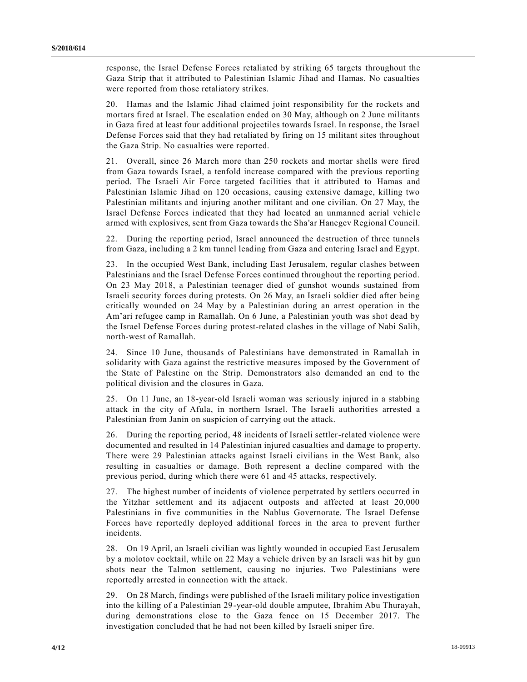response, the Israel Defense Forces retaliated by striking 65 targets throughout the Gaza Strip that it attributed to Palestinian Islamic Jihad and Hamas. No casualties were reported from those retaliatory strikes.

20. Hamas and the Islamic Jihad claimed joint responsibility for the rockets and mortars fired at Israel. The escalation ended on 30 May, although on 2 June militants in Gaza fired at least four additional projectiles towards Israel. In response, the Israel Defense Forces said that they had retaliated by firing on 15 militant sites throughout the Gaza Strip. No casualties were reported.

21. Overall, since 26 March more than 250 rockets and mortar shells were fired from Gaza towards Israel, a tenfold increase compared with the previous reporting period. The Israeli Air Force targeted facilities that it attributed to Hamas and Palestinian Islamic Jihad on 120 occasions, causing extensive damage, killing two Palestinian militants and injuring another militant and one civilian. On 27 May, the Israel Defense Forces indicated that they had located an unmanned aerial vehicle armed with explosives, sent from Gaza towards the Sha'ar Hanegev Regional Council.

22. During the reporting period, Israel announced the destruction of three tunnels from Gaza, including a 2 km tunnel leading from Gaza and entering Israel and Egypt.

23. In the occupied West Bank, including East Jerusalem, regular clashes between Palestinians and the Israel Defense Forces continued throughout the reporting period. On 23 May 2018, a Palestinian teenager died of gunshot wounds sustained from Israeli security forces during protests. On 26 May, an Israeli soldier died after being critically wounded on 24 May by a Palestinian during an arrest operation in the Am'ari refugee camp in Ramallah. On 6 June, a Palestinian youth was shot dead by the Israel Defense Forces during protest-related clashes in the village of Nabi Salih, north-west of Ramallah.

24. Since 10 June, thousands of Palestinians have demonstrated in Ramallah in solidarity with Gaza against the restrictive measures imposed by the Government of the State of Palestine on the Strip. Demonstrators also demanded an end to the political division and the closures in Gaza.

25. On 11 June, an 18-year-old Israeli woman was seriously injured in a stabbing attack in the city of Afula, in northern Israel. The Israeli authorities arrested a Palestinian from Janin on suspicion of carrying out the attack.

26. During the reporting period, 48 incidents of Israeli settler-related violence were documented and resulted in 14 Palestinian injured casualties and damage to property. There were 29 Palestinian attacks against Israeli civilians in the West Bank, also resulting in casualties or damage. Both represent a decline compared with the previous period, during which there were 61 and 45 attacks, respectively.

27. The highest number of incidents of violence perpetrated by settlers occurred in the Yitzhar settlement and its adjacent outposts and affected at least 20,000 Palestinians in five communities in the Nablus Governorate. The Israel Defense Forces have reportedly deployed additional forces in the area to prevent further incidents.

28. On 19 April, an Israeli civilian was lightly wounded in occupied East Jerusalem by a molotov cocktail, while on 22 May a vehicle driven by an Israeli was hit by gun shots near the Talmon settlement, causing no injuries. Two Palestinians were reportedly arrested in connection with the attack.

29. On 28 March, findings were published of the Israeli military police investigation into the killing of a Palestinian 29-year-old double amputee, Ibrahim Abu Thurayah, during demonstrations close to the Gaza fence on 15 December 2017. The investigation concluded that he had not been killed by Israeli sniper fire.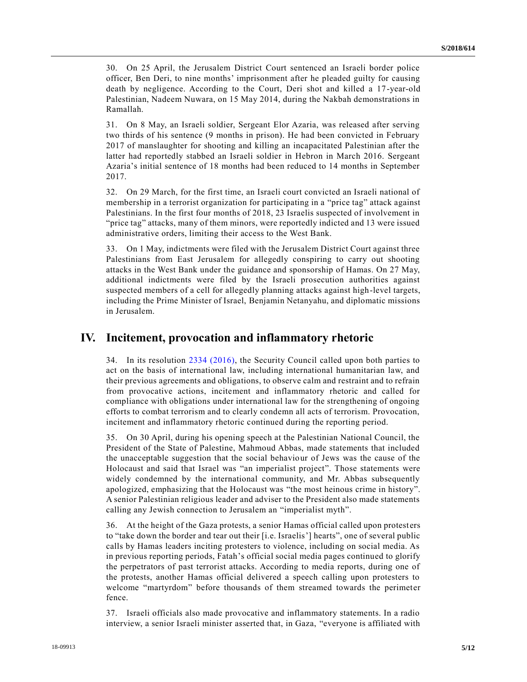30. On 25 April, the Jerusalem District Court sentenced an Israeli border police officer, Ben Deri, to nine months' imprisonment after he pleaded guilty for causing death by negligence. According to the Court, Deri shot and killed a 17-year-old Palestinian, Nadeem Nuwara, on 15 May 2014, during the Nakbah demonstrations in Ramallah.

31. On 8 May, an Israeli soldier, Sergeant Elor Azaria, was released after serving two thirds of his sentence (9 months in prison). He had been convicted in February 2017 of manslaughter for shooting and killing an incapacitated Palestinian after the latter had reportedly stabbed an Israeli soldier in Hebron in March 2016. Sergeant Azaria's initial sentence of 18 months had been reduced to 14 months in September 2017.

32. On 29 March, for the first time, an Israeli court convicted an Israeli national of membership in a terrorist organization for participating in a "price tag" attack against Palestinians. In the first four months of 2018, 23 Israelis suspected of involvement in "price tag" attacks, many of them minors, were reportedly indicted and 13 were issued administrative orders, limiting their access to the West Bank.

33. On 1 May, indictments were filed with the Jerusalem District Court against three Palestinians from East Jerusalem for allegedly conspiring to carry out shooting attacks in the West Bank under the guidance and sponsorship of Hamas. On 27 May, additional indictments were filed by the Israeli prosecution authorities against suspected members of a cell for allegedly planning attacks against high-level targets, including the Prime Minister of Israel, Benjamin Netanyahu, and diplomatic missions in Jerusalem.

#### **IV. Incitement, provocation and inflammatory rhetoric**

34. In its resolution [2334 \(2016\),](https://undocs.org/S/RES/2334(2016)) the Security Council called upon both parties to act on the basis of international law, including international humanitarian law, and their previous agreements and obligations, to observe calm and restraint and to refrain from provocative actions, incitement and inflammatory rhetoric and called for compliance with obligations under international law for the strengthening of ongoing efforts to combat terrorism and to clearly condemn all acts of terrorism. Provocation, incitement and inflammatory rhetoric continued during the reporting period.

35. On 30 April, during his opening speech at the Palestinian National Council, the President of the State of Palestine, Mahmoud Abbas, made statements that included the unacceptable suggestion that the social behaviour of Jews was the cause of the Holocaust and said that Israel was "an imperialist project". Those statements were widely condemned by the international community, and Mr. Abbas subsequently apologized, emphasizing that the Holocaust was "the most heinous crime in history". A senior Palestinian religious leader and adviser to the President also made statements calling any Jewish connection to Jerusalem an "imperialist myth".

36. At the height of the Gaza protests, a senior Hamas official called upon protest ers to "take down the border and tear out their [i.e. Israelis'] hearts", one of several public calls by Hamas leaders inciting protesters to violence, including on social media. As in previous reporting periods, Fatah's official social media pages continued to glorify the perpetrators of past terrorist attacks. According to media reports, during one of the protests, another Hamas official delivered a speech calling upon protesters to welcome "martyrdom" before thousands of them streamed towards the perimeter fence.

37. Israeli officials also made provocative and inflammatory statements. In a radio interview, a senior Israeli minister asserted that, in Gaza, "everyone is affiliated with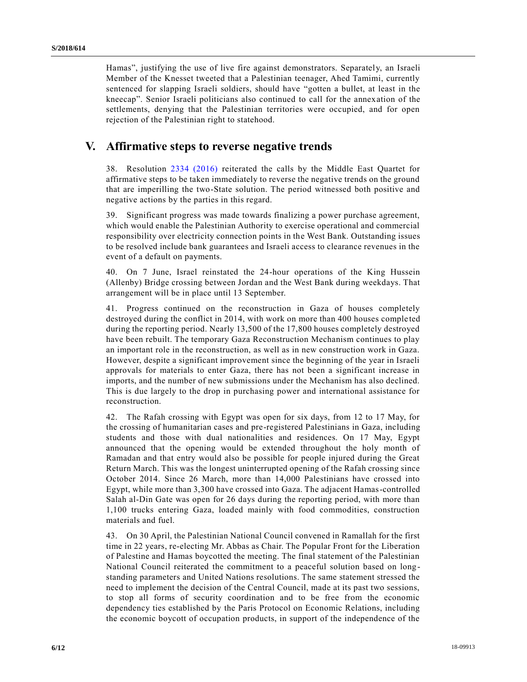Hamas", justifying the use of live fire against demonstrators. Separately, an Israeli Member of the Knesset tweeted that a Palestinian teenager, Ahed Tamimi, currently sentenced for slapping Israeli soldiers, should have "gotten a bullet, at least in the kneecap". Senior Israeli politicians also continued to call for the annexation of the settlements, denying that the Palestinian territories were occupied, and for open rejection of the Palestinian right to statehood.

#### **V. Affirmative steps to reverse negative trends**

38. Resolution [2334 \(2016\)](https://undocs.org/S/RES/2334(2016)) reiterated the calls by the Middle East Quartet for affirmative steps to be taken immediately to reverse the negative trends on the ground that are imperilling the two-State solution. The period witnessed both positive and negative actions by the parties in this regard.

39. Significant progress was made towards finalizing a power purchase agreement, which would enable the Palestinian Authority to exercise operational and commercial responsibility over electricity connection points in the West Bank. Outstanding issues to be resolved include bank guarantees and Israeli access to clearance revenues in the event of a default on payments.

40. On 7 June, Israel reinstated the 24-hour operations of the King Hussein (Allenby) Bridge crossing between Jordan and the West Bank during weekdays. That arrangement will be in place until 13 September.

41. Progress continued on the reconstruction in Gaza of houses completely destroyed during the conflict in 2014, with work on more than 400 houses comple ted during the reporting period. Nearly 13,500 of the 17,800 houses completely destroyed have been rebuilt. The temporary Gaza Reconstruction Mechanism continues to play an important role in the reconstruction, as well as in new construction work in Gaza. However, despite a significant improvement since the beginning of the year in Israeli approvals for materials to enter Gaza, there has not been a significant increase in imports, and the number of new submissions under the Mechanism has also declined. This is due largely to the drop in purchasing power and international assistance for reconstruction.

42. The Rafah crossing with Egypt was open for six days, from 12 to 17 May, for the crossing of humanitarian cases and pre-registered Palestinians in Gaza, including students and those with dual nationalities and residences. On 17 May, Egypt announced that the opening would be extended throughout the holy month of Ramadan and that entry would also be possible for people injured during the Great Return March. This was the longest uninterrupted opening of the Rafah crossing since October 2014. Since 26 March, more than 14,000 Palestinians have crossed into Egypt, while more than 3,300 have crossed into Gaza. The adjacent Hamas-controlled Salah al-Din Gate was open for 26 days during the reporting period, with more than 1,100 trucks entering Gaza, loaded mainly with food commodities, construction materials and fuel.

43. On 30 April, the Palestinian National Council convened in Ramallah for the first time in 22 years, re-electing Mr. Abbas as Chair. The Popular Front for the Liberation of Palestine and Hamas boycotted the meeting. The final statement of the Palestinian National Council reiterated the commitment to a peaceful solution based on long standing parameters and United Nations resolutions. The same statement stressed the need to implement the decision of the Central Council, made at its past two sessions, to stop all forms of security coordination and to be free from the economic dependency ties established by the Paris Protocol on Economic Relations, including the economic boycott of occupation products, in support of the independence of the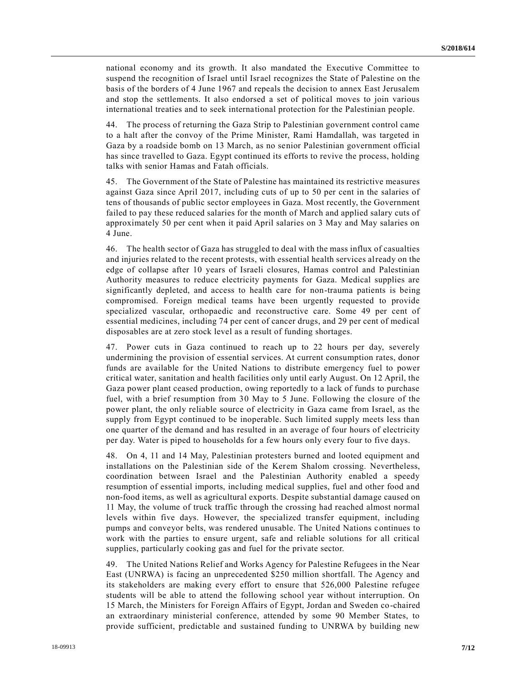national economy and its growth. It also mandated the Executive Committee to suspend the recognition of Israel until Israel recognizes the State of Palestine on the basis of the borders of 4 June 1967 and repeals the decision to annex East Jerusalem and stop the settlements. It also endorsed a set of political moves to join various international treaties and to seek international protection for the Palestinian people.

44. The process of returning the Gaza Strip to Palestinian government control came to a halt after the convoy of the Prime Minister, Rami Hamdallah, was targeted in Gaza by a roadside bomb on 13 March, as no senior Palestinian government official has since travelled to Gaza. Egypt continued its efforts to revive the process, holding talks with senior Hamas and Fatah officials.

45. The Government of the State of Palestine has maintained its restrictive measures against Gaza since April 2017, including cuts of up to 50 per cent in the salaries of tens of thousands of public sector employees in Gaza. Most recently, the Government failed to pay these reduced salaries for the month of March and applied salary cuts of approximately 50 per cent when it paid April salaries on 3 May and May salaries on 4 June.

46. The health sector of Gaza has struggled to deal with the mass influx of casualties and injuries related to the recent protests, with essential health services already on the edge of collapse after 10 years of Israeli closures, Hamas control and Palestinian Authority measures to reduce electricity payments for Gaza. Medical supplies are significantly depleted, and access to health care for non-trauma patients is being compromised. Foreign medical teams have been urgently requested to provide specialized vascular, orthopaedic and reconstructive care. Some 49 per cent of essential medicines, including 74 per cent of cancer drugs, and 29 per cent of medical disposables are at zero stock level as a result of funding shortages.

47. Power cuts in Gaza continued to reach up to 22 hours per day, severely undermining the provision of essential services. At current consumption rates, donor funds are available for the United Nations to distribute emergency fuel to power critical water, sanitation and health facilities only until early August. On 12 April, the Gaza power plant ceased production, owing reportedly to a lack of funds to purchase fuel, with a brief resumption from 30 May to 5 June. Following the closure of the power plant, the only reliable source of electricity in Gaza came from Israel, as the supply from Egypt continued to be inoperable. Such limited supply meets less than one quarter of the demand and has resulted in an average of four hours of electricity per day. Water is piped to households for a few hours only every four to five days.

48. On 4, 11 and 14 May, Palestinian protesters burned and looted equipment and installations on the Palestinian side of the Kerem Shalom crossing. Nevertheless, coordination between Israel and the Palestinian Authority enabled a speedy resumption of essential imports, including medical supplies, fuel and other food and non-food items, as well as agricultural exports. Despite substantial damage caused on 11 May, the volume of truck traffic through the crossing had reached almost normal levels within five days. However, the specialized transfer equipment, including pumps and conveyor belts, was rendered unusable. The United Nations continues to work with the parties to ensure urgent, safe and reliable solutions for all critical supplies, particularly cooking gas and fuel for the private sector.

49. The United Nations Relief and Works Agency for Palestine Refugees in the Near East (UNRWA) is facing an unprecedented \$250 million shortfall. The Agency and its stakeholders are making every effort to ensure that 526,000 Palestine refugee students will be able to attend the following school year without interruption. On 15 March, the Ministers for Foreign Affairs of Egypt, Jordan and Sweden co-chaired an extraordinary ministerial conference, attended by some 90 Member States, to provide sufficient, predictable and sustained funding to UNRWA by building new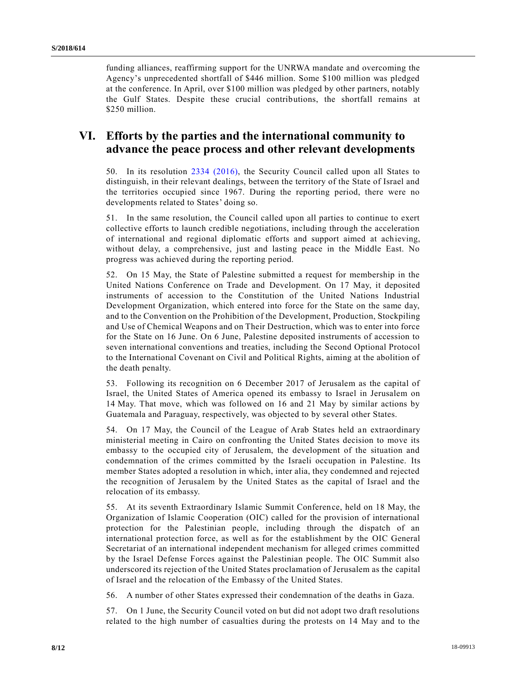funding alliances, reaffirming support for the UNRWA mandate and overcoming the Agency's unprecedented shortfall of \$446 million. Some \$100 million was pledged at the conference. In April, over \$100 million was pledged by other partners, notably the Gulf States. Despite these crucial contributions, the shortfall remains at \$250 million.

## **VI. Efforts by the parties and the international community to advance the peace process and other relevant developments**

50. In its resolution [2334 \(2016\),](https://undocs.org/S/RES/2334(2016)) the Security Council called upon all States to distinguish, in their relevant dealings, between the territory of the State of Israel and the territories occupied since 1967. During the reporting period, there were no developments related to States' doing so.

51. In the same resolution, the Council called upon all parties to continue to exert collective efforts to launch credible negotiations, including through the acceleration of international and regional diplomatic efforts and support aimed at achieving, without delay, a comprehensive, just and lasting peace in the Middle East. No progress was achieved during the reporting period.

52. On 15 May, the State of Palestine submitted a request for membership in the United Nations Conference on Trade and Development. On 17 May, it deposited instruments of accession to the Constitution of the United Nations Industrial Development Organization, which entered into force for the State on the same day, and to the Convention on the Prohibition of the Development, Production, Stockpiling and Use of Chemical Weapons and on Their Destruction, which was to enter into force for the State on 16 June. On 6 June, Palestine deposited instruments of accession to seven international conventions and treaties, including the Second Optional Protocol to the International Covenant on Civil and Political Rights, aiming at the abolition of the death penalty.

53. Following its recognition on 6 December 2017 of Jerusalem as the capital of Israel, the United States of America opened its embassy to Israel in Jerusalem on 14 May. That move, which was followed on 16 and 21 May by similar actions by Guatemala and Paraguay, respectively, was objected to by several other States.

54. On 17 May, the Council of the League of Arab States held an extraordinary ministerial meeting in Cairo on confronting the United States decision to move its embassy to the occupied city of Jerusalem, the development of the situation and condemnation of the crimes committed by the Israeli occupation in Palestine. Its member States adopted a resolution in which, inter alia, they condemned and rejected the recognition of Jerusalem by the United States as the capital of Israel and the relocation of its embassy.

55. At its seventh Extraordinary Islamic Summit Conference, held on 18 May, the Organization of Islamic Cooperation (OIC) called for the provision of international protection for the Palestinian people, including through the dispatch of an international protection force, as well as for the establishment by the OIC General Secretariat of an international independent mechanism for alleged crimes committed by the Israel Defense Forces against the Palestinian people. The OIC Summit also underscored its rejection of the United States proclamation of Jerusalem as the capital of Israel and the relocation of the Embassy of the United States.

56. A number of other States expressed their condemnation of the deaths in Gaza.

57. On 1 June, the Security Council voted on but did not adopt two draft resolutions related to the high number of casualties during the protests on 14 May and to the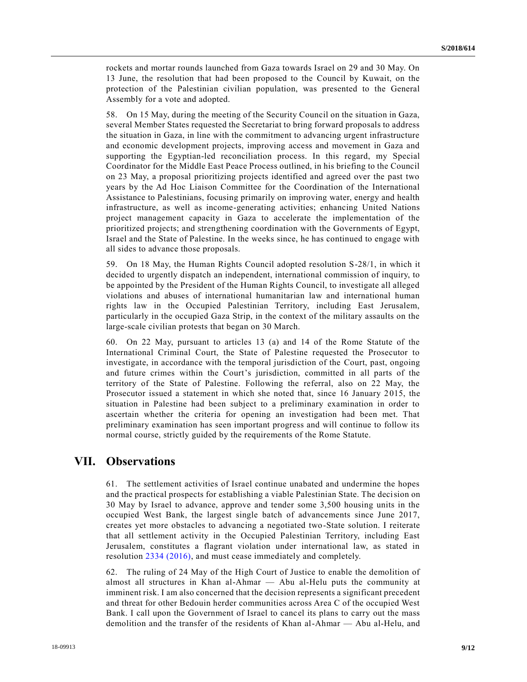rockets and mortar rounds launched from Gaza towards Israel on 29 and 30 May. On 13 June, the resolution that had been proposed to the Council by Kuwait, on the protection of the Palestinian civilian population, was presented to the General Assembly for a vote and adopted.

58. On 15 May, during the meeting of the Security Council on the situation in Gaza, several Member States requested the Secretariat to bring forward proposals to address the situation in Gaza, in line with the commitment to advancing urgent infrastructure and economic development projects, improving access and movement in Gaza and supporting the Egyptian-led reconciliation process. In this regard, my Special Coordinator for the Middle East Peace Process outlined, in his briefing to the Council on 23 May, a proposal prioritizing projects identified and agreed over the past two years by the Ad Hoc Liaison Committee for the Coordination of the International Assistance to Palestinians, focusing primarily on improving water, energy and health infrastructure, as well as income-generating activities; enhancing United Nations project management capacity in Gaza to accelerate the implementation of the prioritized projects; and strengthening coordination with the Governments of Egypt, Israel and the State of Palestine. In the weeks since, he has continued to engage with all sides to advance those proposals.

59. On 18 May, the Human Rights Council adopted resolution S-28/1, in which it decided to urgently dispatch an independent, international commission of inquiry, to be appointed by the President of the Human Rights Council, to investigate all alleged violations and abuses of international humanitarian law and international human rights law in the Occupied Palestinian Territory, including East Jerusalem, particularly in the occupied Gaza Strip, in the context of the military assaults on the large-scale civilian protests that began on 30 March.

60. On 22 May, pursuant to articles 13 (a) and 14 of the Rome Statute of the International Criminal Court, the State of Palestine requested the Prosecutor to investigate, in accordance with the temporal jurisdiction of the Court, past, ongoing and future crimes within the Court's jurisdiction, committed in all parts of the territory of the State of Palestine. Following the referral, also on 22 May, the Prosecutor issued a statement in which she noted that, since 16 January 2015, the situation in Palestine had been subject to a preliminary examination in order to ascertain whether the criteria for opening an investigation had been met. That preliminary examination has seen important progress and will continue to follow its normal course, strictly guided by the requirements of the Rome Statute.

# **VII. Observations**

61. The settlement activities of Israel continue unabated and undermine the hopes and the practical prospects for establishing a viable Palestinian State. The decision on 30 May by Israel to advance, approve and tender some 3,500 housing units in the occupied West Bank, the largest single batch of advancements since June 2017, creates yet more obstacles to advancing a negotiated two-State solution. I reiterate that all settlement activity in the Occupied Palestinian Territory, including East Jerusalem, constitutes a flagrant violation under international law, as stated in resolution [2334 \(2016\),](https://undocs.org/S/RES/2334(2016)) and must cease immediately and completely.

62. The ruling of 24 May of the High Court of Justice to enable the demolition of almost all structures in Khan al-Ahmar — Abu al-Helu puts the community at imminent risk. I am also concerned that the decision represents a significant precedent and threat for other Bedouin herder communities across Area C of the occupied West Bank. I call upon the Government of Israel to cancel its plans to carry out the mass demolition and the transfer of the residents of Khan al-Ahmar — Abu al-Helu, and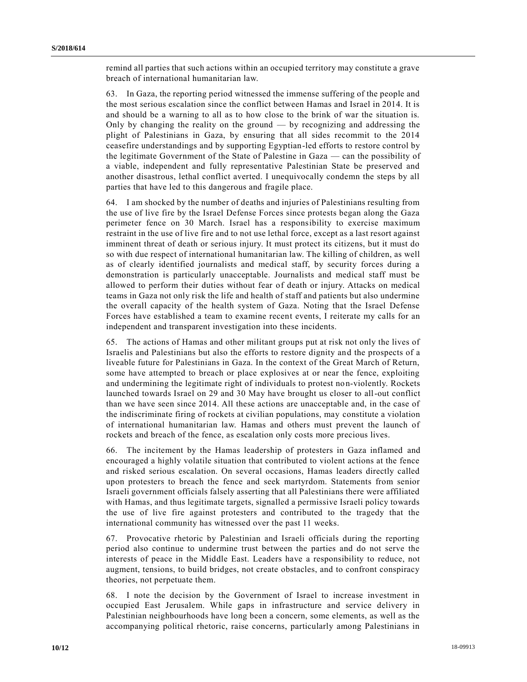remind all parties that such actions within an occupied territory may constitute a grave breach of international humanitarian law.

63. In Gaza, the reporting period witnessed the immense suffering of the people and the most serious escalation since the conflict between Hamas and Israel in 2014. It is and should be a warning to all as to how close to the brink of war the situation is. Only by changing the reality on the ground  $-$  by recognizing and addressing the plight of Palestinians in Gaza, by ensuring that all sides recommit to the 2014 ceasefire understandings and by supporting Egyptian-led efforts to restore control by the legitimate Government of the State of Palestine in Gaza — can the possibility of a viable, independent and fully representative Palestinian State be preserved and another disastrous, lethal conflict averted. I unequivocally condemn the steps by all parties that have led to this dangerous and fragile place.

64. I am shocked by the number of deaths and injuries of Palestinians resulting from the use of live fire by the Israel Defense Forces since protests began along the Gaza perimeter fence on 30 March. Israel has a responsibility to exercise maximum restraint in the use of live fire and to not use lethal force, except as a last resort against imminent threat of death or serious injury. It must protect its citizens, but it must do so with due respect of international humanitarian law. The killing of children, as well as of clearly identified journalists and medical staff, by security forces during a demonstration is particularly unacceptable. Journalists and medical staff must be allowed to perform their duties without fear of death or injury. Attacks on medical teams in Gaza not only risk the life and health of staff and patients but also undermine the overall capacity of the health system of Gaza. Noting that the Israel Defense Forces have established a team to examine recent events, I reiterate my calls for an independent and transparent investigation into these incidents.

65. The actions of Hamas and other militant groups put at risk not only the lives of Israelis and Palestinians but also the efforts to restore dignity and the prospects of a liveable future for Palestinians in Gaza. In the context of the Great March of Return, some have attempted to breach or place explosives at or near the fence, exploiting and undermining the legitimate right of individuals to protest non-violently. Rockets launched towards Israel on 29 and 30 May have brought us closer to all-out conflict than we have seen since 2014. All these actions are unacceptable and, in the case of the indiscriminate firing of rockets at civilian populations, may constitute a violation of international humanitarian law. Hamas and others must prevent the launch of rockets and breach of the fence, as escalation only costs more precious lives.

66. The incitement by the Hamas leadership of protesters in Gaza inflamed and encouraged a highly volatile situation that contributed to violent actions at the fence and risked serious escalation. On several occasions, Hamas leaders directly called upon protesters to breach the fence and seek martyrdom. Statements from senior Israeli government officials falsely asserting that all Palestinians there were affiliated with Hamas, and thus legitimate targets, signalled a permissive Israeli policy towards the use of live fire against protesters and contributed to the tragedy that the international community has witnessed over the past 11 weeks.

67. Provocative rhetoric by Palestinian and Israeli officials during the reporting period also continue to undermine trust between the parties and do not serve the interests of peace in the Middle East. Leaders have a responsibility to reduce, not augment, tensions, to build bridges, not create obstacles, and to confront conspiracy theories, not perpetuate them.

68. I note the decision by the Government of Israel to increase investment in occupied East Jerusalem. While gaps in infrastructure and service delivery in Palestinian neighbourhoods have long been a concern, some elements, as well as the accompanying political rhetoric, raise concerns, particularly among Palestinians in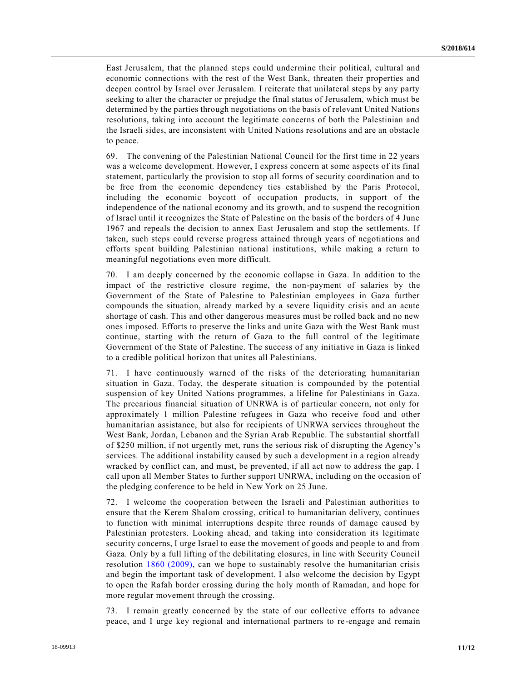East Jerusalem, that the planned steps could undermine their political, cultural and economic connections with the rest of the West Bank, threaten their properties and deepen control by Israel over Jerusalem. I reiterate that unilateral steps by any party seeking to alter the character or prejudge the final status of Jerusalem, which must be determined by the parties through negotiations on the basis of relevant United Nations resolutions, taking into account the legitimate concerns of both the Palestinian and the Israeli sides, are inconsistent with United Nations resolutions and are an obstacle to peace.

69. The convening of the Palestinian National Council for the first time in 22 years was a welcome development. However, I express concern at some aspects of its final statement, particularly the provision to stop all forms of security coordination and to be free from the economic dependency ties established by the Paris Protocol, including the economic boycott of occupation products, in support of the independence of the national economy and its growth, and to suspend the recognition of Israel until it recognizes the State of Palestine on the basis of the borders of 4 June 1967 and repeals the decision to annex East Jerusalem and stop the settlements. If taken, such steps could reverse progress attained through years of negotiations and efforts spent building Palestinian national institutions, while making a return to meaningful negotiations even more difficult.

70. I am deeply concerned by the economic collapse in Gaza. In addition to the impact of the restrictive closure regime, the non-payment of salaries by the Government of the State of Palestine to Palestinian employees in Gaza further compounds the situation, already marked by a severe liquidity crisis and an acute shortage of cash. This and other dangerous measures must be rolled back and no new ones imposed. Efforts to preserve the links and unite Gaza with the West Bank must continue, starting with the return of Gaza to the full control of the legitimate Government of the State of Palestine. The success of any initiative in Gaza is linked to a credible political horizon that unites all Palestinians.

71. I have continuously warned of the risks of the deteriorating humanitarian situation in Gaza. Today, the desperate situation is compounded by the potential suspension of key United Nations programmes, a lifeline for Palestinians in Gaza. The precarious financial situation of UNRWA is of particular concern, not only for approximately 1 million Palestine refugees in Gaza who receive food and other humanitarian assistance, but also for recipients of UNRWA services throughout the West Bank, Jordan, Lebanon and the Syrian Arab Republic. The substantial shortfall of \$250 million, if not urgently met, runs the serious risk of disrupting the Agency's services. The additional instability caused by such a development in a region already wracked by conflict can, and must, be prevented, if all act now to address the gap. I call upon all Member States to further support UNRWA, including on the occasion of the pledging conference to be held in New York on 25 June.

72. I welcome the cooperation between the Israeli and Palestinian authorities to ensure that the Kerem Shalom crossing, critical to humanitarian delivery, continues to function with minimal interruptions despite three rounds of damage caused by Palestinian protesters. Looking ahead, and taking into consideration its legitimate security concerns, I urge Israel to ease the movement of goods and people to and from Gaza. Only by a full lifting of the debilitating closures, in line with Security Council resolution [1860 \(2009\),](https://undocs.org/S/RES/1860(2009)) can we hope to sustainably resolve the humanitarian crisis and begin the important task of development. I also welcome the decision by Egypt to open the Rafah border crossing during the holy month of Ramadan, and hope for more regular movement through the crossing.

73. I remain greatly concerned by the state of our collective efforts to advance peace, and I urge key regional and international partners to re-engage and remain